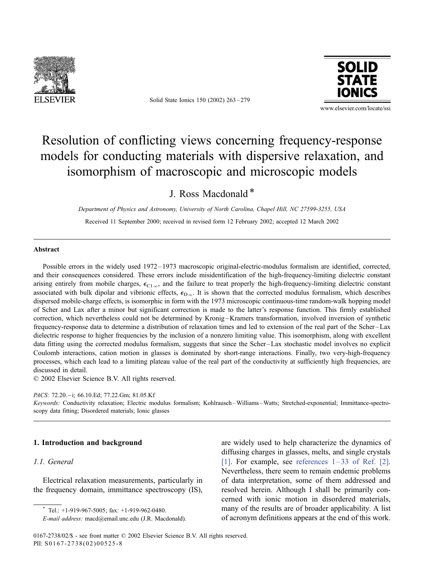

Solid State Ionics 150 (2002) 263 – 279



www.elsevier.com/locate/ssi

# Resolution of conflicting views concerning frequency-response models for conducting materials with dispersive relaxation, and isomorphism of macroscopic and microscopic models

# J. Ross Macdonald \*

Department of Physics and Astronomy, University of North Carolina, Chapel Hill, NC 27599-3255, USA

Received 11 September 2000; received in revised form 12 February 2002; accepted 12 March 2002

#### Abstract

Possible errors in the widely used 1972 – 1973 macroscopic original-electric-modulus formalism are identified, corrected, and their consequences considered. These errors include misidentification of the high-frequency-limiting dielectric constant arising entirely from mobile charges,  $\epsilon_{C1\infty}$ , and the failure to treat properly the high-frequency-limiting dielectric constant associated with bulk dipolar and vibrionic effects,  $\epsilon_{D\infty}$ . It is shown that the corrected modulus formalism, which describes dispersed mobile-charge effects, is isomorphic in form with the 1973 microscopic continuous-time random-walk hopping model of Scher and Lax after a minor but significant correction is made to the latter's response function. This firmly established correction, which nevertheless could not be determined by Kronig-Kramers transformation, involved inversion of synthetic frequency-response data to determine a distribution of relaxation times and led to extension of the real part of the Scher –Lax dielectric response to higher frequencies by the inclusion of a nonzero limiting value. This isomorphism, along with excellent data fitting using the corrected modulus formalism, suggests that since the Scher –Lax stochastic model involves no explicit Coulomb interactions, cation motion in glasses is dominated by short-range interactions. Finally, two very-high-frequency processes, which each lead to a limiting plateau value of the real part of the conductivity at sufficiently high frequencies, are discussed in detail.

 $© 2002 Elsevier Science B.V. All rights reserved.$ 

PACS: 72.20.-i; 66.10.Ed; 77.22.Gm; 81.05.Kf

Keywords: Conductivity relaxation; Electric modulus formalism; Kohlrausch-Williams-Watts; Stretched-exponential; Immittance-spectroscopy data fitting; Disordered materials; Ionic glasses

## 1. Introduction and background

# 1.1. General

Electrical relaxation measurements, particularly in the frequency domain, immittance spectroscopy (IS), are widely used to help characterize the dynamics of diffusing charges in glasses, melts, and single crystals [\[1\].](#page-15-0) For example, see references  $1-33$  of Ref. [2]. Nevertheless, there seem to remain endemic problems of data interpretation, some of them addressed and resolved herein. Although I shall be primarily concerned with ionic motion in disordered materials, many of the results are of broader applicability. A list of acronym definitions appears at the end of this work.

Tel.:  $+1-919-967-5005$ ; fax:  $+1-919-962-0480$ .

E-mail address: macd@email.unc.edu (J.R. Macdonald).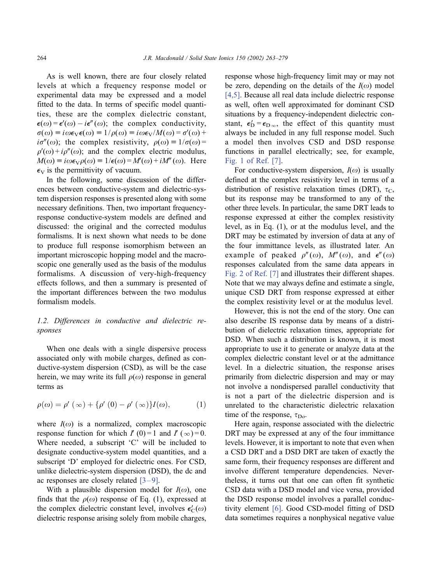As is well known, there are four closely related levels at which a frequency response model or experimental data may be expressed and a model fitted to the data. In terms of specific model quantities, these are the complex dielectric constant,  $\epsilon(\omega) = \epsilon'(\omega) - i\epsilon''(\omega)$ ; the complex conductivity,  $\sigma(\omega) \equiv i\omega \epsilon_V \epsilon(\omega) \equiv 1/\rho(\omega) \equiv i\omega \epsilon_V/M(\omega) = \sigma'(\omega) +$  $i\sigma''(\omega)$ ; the complex resistivity,  $\rho(\omega) = 1/\sigma(\omega) =$  $\rho'(\omega) + i\rho''(\omega)$ ; and the complex electric modulus,  $M(\omega) \equiv i\omega \epsilon_V \rho(\omega) \equiv 1/\epsilon(\omega) = M'(\omega) + iM''(\omega)$ . Here  $\epsilon_{\rm V}$  is the permittivity of vacuum.

In the following, some discussion of the differences between conductive-system and dielectric-system dispersion responses is presented along with some necessary definitions. Then, two important frequencyresponse conductive-system models are defined and discussed: the original and the corrected modulus formalisms. It is next shown what needs to be done to produce full response isomorphism between an important microscopic hopping model and the macroscopic one generally used as the basis of the modulus formalisms. A discussion of very-high-frequency effects follows, and then a summary is presented of the important differences between the two modulus formalism models.

## 1.2. Differences in conductive and dielectric responses

When one deals with a single dispersive process associated only with mobile charges, defined as conductive-system dispersion (CSD), as will be the case herein, we may write its full  $\rho(\omega)$  response in general terms as

$$
\rho(\omega) = \rho'(\infty) + {\rho'(0) - \rho'(\infty)}I(\omega),
$$
 (1)

where  $I(\omega)$  is a normalized, complex macroscopic response function for which  $I'(0) = 1$  and  $I'(\infty) = 0$ . Where needed, a subscript 'C' will be included to designate conductive-system model quantities, and a subscript 'D' employed for dielectric ones. For CSD, unlike dielectric-system dispersion (DSD), the dc and ac responses are closely related  $[3-9]$ .

With a plausible dispersion model for  $I(\omega)$ , one finds that the  $\rho(\omega)$  response of Eq. (1), expressed at the complex dielectric constant level, involves  $\epsilon'_{\mathcal{C}}(\omega)$ dielectric response arising solely from mobile charges, response whose high-frequency limit may or may not be zero, depending on the details of the  $I(\omega)$  model [\[4,5\].](#page-15-0) Because all real data include dielectric response as well, often well approximated for dominant CSD situations by a frequency-independent dielectric constant,  $\epsilon'_{\text{D}} = \epsilon_{\text{D}, \infty}$ , the effect of this quantity must always be included in any full response model. Such a model then involves CSD and DSD response functions in parallel electrically; see, for example, [Fig. 1 of Ref. \[7\].](#page-15-0)

For conductive-system dispersion,  $I(\omega)$  is usually defined at the complex resistivity level in terms of a distribution of resistive relaxation times (DRT),  $\tau_{\text{C}}$ , but its response may be transformed to any of the other three levels. In particular, the same DRT leads to response expressed at either the complex resistivity level, as in Eq. (1), or at the modulus level, and the DRT may be estimated by inversion of data at any of the four immittance levels, as illustrated later. An example of peaked  $\rho''(\omega)$ ,  $M''(\omega)$ , and  $\epsilon''(\omega)$ responses calculated from the same data appears in [Fig. 2 of Ref. \[7\]](#page-15-0) and illustrates their different shapes. Note that we may always define and estimate a single, unique CSD DRT from response expressed at either the complex resistivity level or at the modulus level.

However, this is not the end of the story. One can also describe IS response data by means of a distribution of dielectric relaxation times, appropriate for DSD. When such a distribution is known, it is most appropriate to use it to generate or analyze data at the complex dielectric constant level or at the admittance level. In a dielectric situation, the response arises primarily from dielectric dispersion and may or may not involve a nondispersed parallel conductivity that is not a part of the dielectric dispersion and is unrelated to the characteristic dielectric relaxation time of the response,  $\tau_{\text{Do}}$ .

Here again, response associated with the dielectric DRT may be expressed at any of the four immittance levels. However, it is important to note that even when a CSD DRT and a DSD DRT are taken of exactly the same form, their frequency responses are different and involve different temperature dependencies. Nevertheless, it turns out that one can often fit synthetic CSD data with a DSD model and vice versa, provided the DSD response model involves a parallel conductivity element [\[6\].](#page-15-0) Good CSD-model fitting of DSD data sometimes requires a nonphysical negative value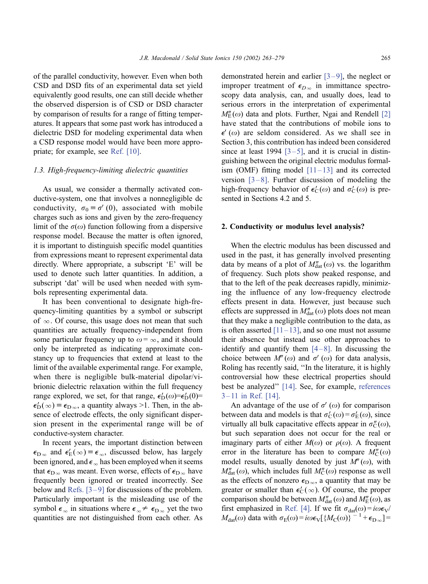of the parallel conductivity, however. Even when both CSD and DSD fits of an experimental data set yield equivalently good results, one can still decide whether the observed dispersion is of CSD or DSD character by comparison of results for a range of fitting temperatures. It appears that some past work has introduced a dielectric DSD for modeling experimental data when a CSD response model would have been more appropriate; for example, see [Ref. \[10\].](#page-15-0)

#### 1.3. High-frequency-limiting dielectric quantities

As usual, we consider a thermally activated conductive-system, one that involves a nonnegligible dc conductivity,  $\sigma_0 \equiv \sigma'(0)$ , associated with mobile charges such as ions and given by the zero-frequency limit of the  $\sigma(\omega)$  function following from a dispersive response model. Because the matter is often ignored, it is important to distinguish specific model quantities from expressions meant to represent experimental data directly. Where appropriate, a subscript 'E' will be used to denote such latter quantities. In addition, a subscript 'dat' will be used when needed with symbols representing experimental data.

It has been conventional to designate high-frequency-limiting quantities by a symbol or subscript of  $\infty$ . Of course, this usage does not mean that such quantities are actually frequency-independent from some particular frequency up to  $\omega = \infty$ , and it should only be interpreted as indicating approximate constancy up to frequencies that extend at least to the limit of the available experimental range. For example, when there is negligible bulk-material dipolar/vibrionic dielectric relaxation within the full frequency range explored, we set, for that range,  $\epsilon'_{D}(\omega) = \epsilon'_{D}(0)$ =  $\epsilon'_{\rm D}(\infty) \equiv \epsilon_{\rm D\infty}$ , a quantity always >1. Then, in the absence of electrode effects, the only significant dispersion present in the experimental range will be of conductive-system character.

In recent years, the important distinction between  $\epsilon_{\text{D}\infty}$  and  $\epsilon'_\text{E}(\infty) \equiv \epsilon_\infty$ , discussed below, has largely been ignored, and  $\epsilon_{\infty}$  has been employed when it seems that  $\epsilon_{\text{D}\infty}$  was meant. Even worse, effects of  $\epsilon_{\text{D}\infty}$  have frequently been ignored or treated incorrectly. See below and Refs.  $[3-9]$  for discussions of the problem. Particularly important is the misleading use of the symbol  $\epsilon_{\infty}$  in situations where  $\epsilon_{\infty} \neq \epsilon_{\text{D}\infty}$  yet the two quantities are not distinguished from each other. As

demonstrated herein and earlier  $[3-9]$ , the neglect or improper treatment of  $\epsilon_{D\infty}$  in immittance spectroscopy data analysis, can, and usually does, lead to serious errors in the interpretation of experimental  $M''_{\rm F}(\omega)$  data and plots. Further, Ngai and Rendell [\[2\]](#page-15-0) have stated that the contributions of mobile ions to  $\epsilon'(\omega)$  are seldom considered. As we shall see in Section 3, this contribution has indeed been considered since at least 1994  $[3-5]$ , and it is crucial in distinguishing between the original electric modulus formalism (OMF) fitting model  $[11-13]$  and its corrected version  $[3-8]$ . Further discussion of modeling the high-frequency behavior of  $\epsilon'_{C}(\omega)$  and  $\sigma'_{C}(\omega)$  is presented in Sections 4.2 and 5.

#### 2. Conductivity or modulus level analysis?

When the electric modulus has been discussed and used in the past, it has generally involved presenting data by means of a plot of  $M''_{\text{dat}}(\omega)$  vs. the logarithm of frequency. Such plots show peaked response, and that to the left of the peak decreases rapidly, minimizing the influence of any low-frequency electrode effects present in data. However, just because such effects are suppressed in  $M''_{\text{dat}}(\omega)$  plots does not mean that they make a negligible contribution to the data, as is often asserted  $[11-13]$ , and so one must not assume their absence but instead use other approaches to identify and quantify them  $[4-8]$ . In discussing the choice between  $M''(\omega)$  and  $\sigma'(\omega)$  for data analysis, Roling has recently said, ''In the literature, it is highly controversial how these electrical properties should best be analyzed'' [\[14\].](#page-15-0) See, for example, [references](#page-15-0)  $3-11$  in Ref. [14].

An advantage of the use of  $\sigma'( \omega)$  for comparison between data and models is that  $\sigma'_{\mathcal{C}}(\omega) = \sigma'_{\mathcal{E}}(\omega)$ , since virtually all bulk capacitative effects appear in  $\sigma''_C(\omega)$ , but such separation does not occur for the real or imaginary parts of either  $M(\omega)$  or  $\rho(\omega)$ . A frequent error in the literature has been to compare  $M''_{\mathcal{C}}(\omega)$ model results, usually denoted by just  $M''(\omega)$ , with  $M''_{\text{dat}}(\omega)$ , which includes full  $M''_{\text{C}}(\omega)$  response as well as the effects of nonzero  $\epsilon_{D_{\infty}}$ , a quantity that may be greater or smaller than  $\epsilon'_{C}(\infty)$ . Of course, the proper comparison should be between  $M''_{\text{dat}}(\omega)$  and  $M''_{\text{E}}(\omega)$ , as first emphasized in [Ref. \[4\].](#page-15-0) If we fit  $\sigma_{dat}(\omega) = i\omega \epsilon_V$ /  $M_{\text{dat}}(\omega)$  data with  $\sigma_{\text{E}}(\omega) = i\omega \epsilon_{\text{V}}[\{M_{\text{C}}(\omega)\}^{-1} + \epsilon_{\text{D}\infty}] =$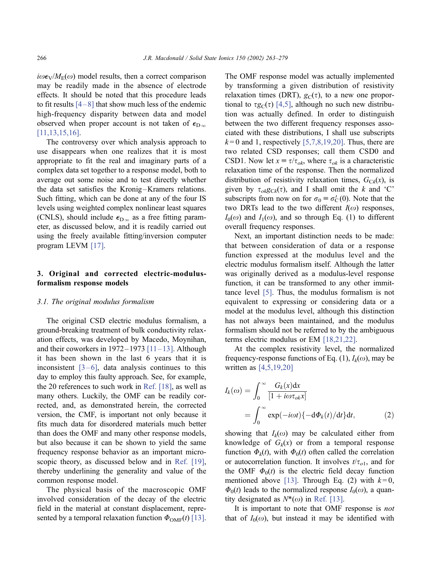$i\omega\epsilon_V/M_E(\omega)$  model results, then a correct comparison may be readily made in the absence of electrode effects. It should be noted that this procedure leads to fit results  $[4-8]$  that show much less of the endemic high-frequency disparity between data and model observed when proper account is not taken of  $\epsilon_{\text{D}\infty}$ [\[11,13,15,16\].](#page-15-0)

The controversy over which analysis approach to use disappears when one realizes that it is most appropriate to fit the real and imaginary parts of a complex data set together to a response model, both to average out some noise and to test directly whether the data set satisfies the Kronig-Kramers relations. Such fitting, which can be done at any of the four IS levels using weighted complex nonlinear least squares (CNLS), should include  $\epsilon_{D_{\infty}}$  as a free fitting parameter, as discussed below, and it is readily carried out using the freely available fitting/inversion computer program LEVM [\[17\].](#page-15-0)

# 3. Original and corrected electric-modulusformalism response models

#### 3.1. The original modulus formalism

The original CSD electric modulus formalism, a ground-breaking treatment of bulk conductivity relaxation effects, was developed by Macedo, Moynihan, and their coworkers in  $1972 - 1973$  [11 – 13]. Although it has been shown in the last 6 years that it is inconsistent  $[3-6]$ , data analysis continues to this day to employ this faulty approach. See, for example, the 20 references to such work in [Ref. \[18\],](#page-15-0) as well as many others. Luckily, the OMF can be readily corrected, and, as demonstrated herein, the corrected version, the CMF, is important not only because it fits much data for disordered materials much better than does the OMF and many other response models, but also because it can be shown to yield the same frequency response behavior as an important microscopic theory, as discussed below and in [Ref. \[19\],](#page-15-0) thereby underlining the generality and value of the common response model.

The physical basis of the macroscopic OMF involved consideration of the decay of the electric field in the material at constant displacement, represented by a temporal relaxation function  $\Phi_{\text{OMF}}(t)$  [\[13\].](#page-15-0)

The OMF response model was actually implemented by transforming a given distribution of resistivity relaxation times (DRT),  $g_C(\tau)$ , to a new one proportional to  $\tau g_C(\tau)$  [\[4,5\],](#page-15-0) although no such new distribution was actually defined. In order to distinguish between the two different frequency responses associated with these distributions, I shall use subscripts  $k=0$  and 1, respectively [\[5,7,8,19,20\].](#page-15-0) Thus, there are two related CSD responses; call them CSD0 and CSD1. Now let  $x = \tau/\tau_{ok}$ , where  $\tau_{ok}$  is a characteristic relaxation time of the response. Then the normalized distribution of resistivity relaxation times,  $G_{Ck}(x)$ , is given by  $\tau_{ok}g_{Ck}(\tau)$ , and I shall omit the k and 'C' subscripts from now on for  $\sigma_0 \equiv \sigma_C'(0)$ . Note that the two DRTs lead to the two different  $I(\omega)$  responses,  $I_0(\omega)$  and  $I_1(\omega)$ , and so through Eq. (1) to different overall frequency responses.

Next, an important distinction needs to be made: that between consideration of data or a response function expressed at the modulus level and the electric modulus formalism itself. Although the latter was originally derived as a modulus-level response function, it can be transformed to any other immittance level [\[5\].](#page-15-0) Thus, the modulus formalism is not equivalent to expressing or considering data or a model at the modulus level, although this distinction has not always been maintained, and the modulus formalism should not be referred to by the ambiguous terms electric modulus or EM [\[18,21,22\].](#page-15-0)

At the complex resistivity level, the normalized frequency-response functions of Eq. (1),  $I_k(\omega)$ , may be written as [\[4,5,19,20\]](#page-15-0)

$$
I_k(\omega) = \int_0^\infty \frac{G_k(x)dx}{[1 + i\omega \tau_{ok}x]}
$$
  
= 
$$
\int_0^\infty \exp(-i\omega t)\{-d\Phi_k(t)/dt\}dt,
$$
 (2)

showing that  $I_k(\omega)$  may be calculated either from knowledge of  $G_k(x)$  or from a temporal response function  $\Phi_k(t)$ , with  $\Phi_0(t)$  often called the correlation or autocorrelation function. It involves  $t/\tau_{o1}$ , and for the OMF  $\Phi_0(t)$  is the electric field decay function mentioned above [\[13\].](#page-15-0) Through Eq. (2) with  $k=0$ ,  $\Phi_0(t)$  leads to the normalized response  $I_0(\omega)$ , a quantity designated as  $N^*(\omega)$  in [Ref. \[13\].](#page-15-0)

It is important to note that OMF response is not that of  $I_0(\omega)$ , but instead it may be identified with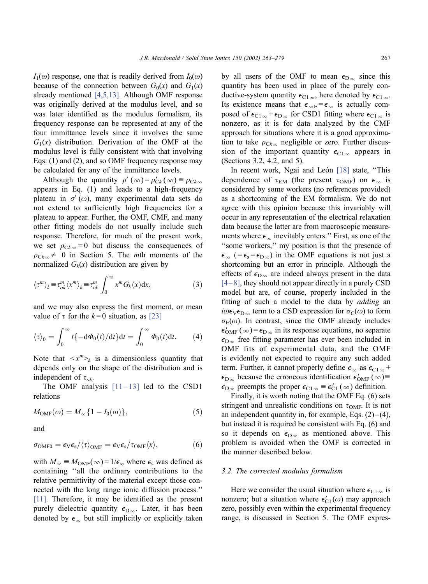$I_1(\omega)$  response, one that is readily derived from  $I_0(\omega)$ because of the connection between  $G_0(x)$  and  $G_1(x)$ already mentioned [\[4,5,13\].](#page-15-0) Although OMF response was originally derived at the modulus level, and so was later identified as the modulus formalism, its frequency response can be represented at any of the four immittance levels since it involves the same  $G_1(x)$  distribution. Derivation of the OMF at the modulus level is fully consistent with that involving Eqs. (1) and (2), and so OMF frequency response may be calculated for any of the immittance levels.

Although the quantity  $\rho'(\infty) = \rho_{Ck}'(\infty) = \rho_{Ck}(\infty)$ appears in Eq. (1) and leads to a high-frequency plateau in  $\sigma'(ω)$ , many experimental data sets do not extend to sufficiently high frequencies for a plateau to appear. Further, the OMF, CMF, and many other fitting models do not usually include such response. Therefore, for much of the present work, we set  $\rho_{Ck\infty} = 0$  but discuss the consequences of  $\rho_{Ck_{\infty}} \neq 0$  in Section 5. The *mth* moments of the normalized  $G_k(x)$  distribution are given by

$$
\langle \tau^m \rangle_k \equiv \tau^m_{ok} \langle x^m \rangle_k \equiv \tau^m_{ok} \int_0^\infty x^m G_k(x) \mathrm{d} x,\tag{3}
$$

and we may also express the first moment, or mean value of  $\tau$  for the  $k=0$  situation, as [\[23\]](#page-15-0)

$$
\langle \tau \rangle_0 = \int_0^\infty t \{-\mathrm{d}\Phi_0(t)/\mathrm{d}t\} \mathrm{d}t = \int_0^\infty \Phi_0(t) \mathrm{d}t. \tag{4}
$$

Note that  $\langle x^m \rangle_k$  is a dimensionless quantity that depends only on the shape of the distribution and is independent of  $\tau_{ok}$ .

The OMF analysis  $[11-13]$  led to the CSD1 relations

$$
M_{\text{OMF}}(\omega) = M_{\infty} \{ 1 - I_0(\omega) \},\tag{5}
$$

and

$$
\sigma_{OMF0} = \epsilon_V \epsilon_s / \langle \tau \rangle_{OMF} = \epsilon_V \epsilon_s / \tau_{OMF} \langle x \rangle, \tag{6}
$$

with  $M_{\infty} \equiv M_{\text{OMF}}(\infty) = 1/\epsilon_s$ , where  $\epsilon_s$  was defined as containing ''all the ordinary contributions to the relative permittivity of the material except those connected with the long range ionic diffusion process.'' [\[11\].](#page-15-0) Therefore, it may be identified as the present purely dielectric quantity  $\epsilon_{D\infty}$ . Later, it has been denoted by  $\epsilon_{\infty}$  but still implicitly or explicitly taken

by all users of the OMF to mean  $\epsilon_{D_{\infty}}$  since this quantity has been used in place of the purely conductive-system quantity  $\epsilon_{C1\,\infty}$ , here denoted by  $\epsilon_{C1\,\infty}$ . Its existence means that  $\epsilon_{\infty E} = \epsilon_{\infty}$  is actually composed of  $\epsilon_{C1\infty} + \epsilon_{D\infty}$  for CSD1 fitting where  $\epsilon_{C1\infty}$  is nonzero, as it is for data analyzed by the CMF approach for situations where it is a good approximation to take  $\rho_{Ck_{\infty}}$  negligible or zero. Further discussion of the important quantity  $\epsilon_{C1\infty}$  appears in (Sections 3.2, 4.2, and 5).

In recent work, Ngai and León [\[18\]](#page-15-0) state, "This dependence of  $\tau_{EM}$  (the present  $\tau_{OMF}$ ) on  $\epsilon_{\infty}$  is considered by some workers (no references provided) as a shortcoming of the EM formalism. We do not agree with this opinion because this invariably will occur in any representation of the electrical relaxation data because the latter are from macroscopic measurements where  $\epsilon_{\infty}$  inevitably enters." First, as one of the ''some workers,'' my position is that the presence of  $\epsilon_{\infty}$  (=  $\epsilon_{\rm s}$ = $\epsilon_{\rm D\infty}$ ) in the OMF equations is not just a shortcoming but an error in principle. Although the effects of  $\epsilon_{\text{D}_{\infty}}$  are indeed always present in the data  $[4-8]$ , they should not appear directly in a purely CSD model but are, of course, properly included in the fitting of such a model to the data by *adding* an  $i\omega\epsilon_V\epsilon_{D\infty}$  term to a CSD expression for  $\sigma_C(\omega)$  to form  $\sigma_{\rm E}(\omega)$ . In contrast, since the OMF already includes  $\epsilon'_{\text{OMF}}(\infty) = \epsilon_{\text{D}_{\infty}}$  in its response equations, no separate  $\epsilon_{\text{D}\infty}$  free fitting parameter has ever been included in OMF fits of experimental data, and the OMF is evidently not expected to require any such added term. Further, it cannot properly define  $\epsilon_{\infty}$  as  $\epsilon_{C1,\infty}$  +  $\epsilon_{\text{D}\infty}$  because the erroneous identification  $\epsilon'_{\text{OMF}}(\infty)$  =  $\epsilon_{\text{D}_{\infty}}$  preempts the proper  $\epsilon_{\text{C1}_{\infty}} \equiv \epsilon'_{\text{C1}}(\infty)$  definition.

Finally, it is worth noting that the OMF Eq. (6) sets stringent and unrealistic conditions on  $\tau_{\text{OMF}}$ . It is not an independent quantity in, for example, Eqs.  $(2)$ – $(4)$ , but instead it is required be consistent with Eq. (6) and so it depends on  $\epsilon_{D_{\infty}}$  as mentioned above. This problem is avoided when the OMF is corrected in the manner described below.

#### 3.2. The corrected modulus formalism

Here we consider the usual situation where  $\epsilon_{C1\,\infty}$  is nonzero; but a situation where  $\epsilon'_{C1}(\omega)$  may approach zero, possibly even within the experimental frequency range, is discussed in Section 5. The OMF expres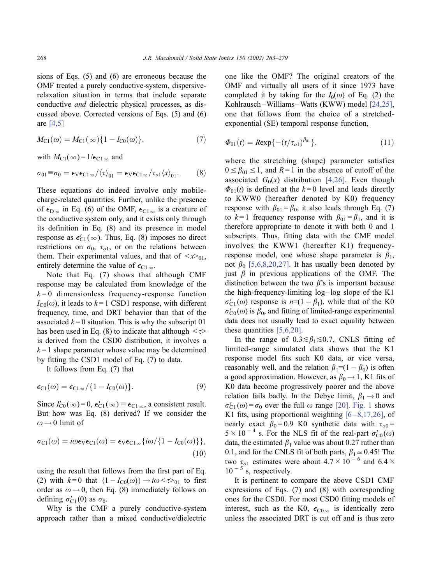sions of Eqs. (5) and (6) are erroneous because the OMF treated a purely conductive-system, dispersiverelaxation situation in terms that include separate conductive and dielectric physical processes, as discussed above. Corrected versions of Eqs. (5) and (6) are [\[4,5\]](#page-15-0)

$$
M_{\rm Cl}(\omega) = M_{\rm Cl}(\infty) \{ 1 - I_{\rm Cl}(\omega) \},\tag{7}
$$

with  $M_{\text{C1}}(\infty) = 1/\epsilon_{\text{C1}}$  and

$$
\sigma_{01} \equiv \sigma_0 = \epsilon_V \epsilon_{C1\,\infty} / \langle \tau \rangle_{01} = \epsilon_V \epsilon_{C1\,\infty} / \tau_{o1} \langle x \rangle_{01}.
$$
 (8)

These equations do indeed involve only mobilecharge-related quantities. Further, unlike the presence of  $\epsilon_{\text{D}\infty}$  in Eq. (6) of the OMF,  $\epsilon_{\text{C1}\infty}$  is a creature of the conductive system only, and it exists only through its definition in Eq. (8) and its presence in model response as  $\epsilon'_{C1}(\infty)$ . Thus, Eq. (8) imposes no direct restrictions on  $\sigma_0$ ,  $\tau_{o1}$ , or on the relations between them. Their experimental values, and that of  $\langle x \rangle_{01}$ , entirely determine the value of  $\epsilon_{C1\infty}$ .

Note that Eq. (7) shows that although CMF response may be calculated from knowledge of the  $k=0$  dimensionless frequency-response function  $I_{\text{C0}}(\omega)$ , it leads to  $k=1$  CSD1 response, with different frequency, time, and DRT behavior than that of the associated  $k=0$  situation. This is why the subscript 01 has been used in Eq. (8) to indicate that although  $\langle \tau \rangle$ is derived from the CSD0 distribution, it involves a  $k = 1$  shape parameter whose value may be determined by fitting the CSD1 model of Eq. (7) to data.

It follows from Eq. (7) that

$$
\epsilon_{\text{C1}}(\omega) = \epsilon_{\text{C1}\infty}/\{1 - I_{\text{C0}}(\omega)\}.
$$
\n(9)

Since  $I'_{C0}(\infty) = 0$ ,  $\epsilon'_{C1}(\infty) = \epsilon_{C1\infty}$ , a consistent result. But how was Eq. (8) derived? If we consider the  $\omega \rightarrow 0$  limit of

$$
\sigma_{C1}(\omega) = i\omega \epsilon_V \epsilon_{C1}(\omega) = \epsilon_V \epsilon_{C1\infty} \{i\omega/\{1 - I_{C0}(\omega)\}\},\tag{10}
$$

using the result that follows from the first part of Eq. (2) with  $k=0$  that  $\{1 - I_{C0}(\omega)\}\rightarrow i\omega < \tau>_{01}$  to first order as  $\omega \rightarrow 0$ , then Eq. (8) immediately follows on defining  $\sigma_{C1}'(0)$  as  $\sigma_0$ .

Why is the CMF a purely conductive-system approach rather than a mixed conductive/dielectric one like the OMF? The original creators of the OMF and virtually all users of it since 1973 have completed it by taking for the  $I_0(\omega)$  of Eq. (2) the Kohlrausch –Williams–Watts (KWW) model [\[24,25\],](#page-15-0) one that follows from the choice of a stretchedexponential (SE) temporal response function,

$$
\Phi_{01}(t) = \text{Rexp}\{-(t/\tau_{o1})^{\beta_{01}}\},\tag{11}
$$

where the stretching (shape) parameter satisfies  $0 \leq \beta_{01} \leq 1$ , and  $R = 1$  in the absence of cutoff of the associated  $G_0(x)$  distribution [\[4,26\].](#page-15-0) Even though  $\Phi_{01}(t)$  is defined at the  $k=0$  level and leads directly to KWW0 (hereafter denoted by K0) frequency response with  $\beta_{01} = \beta_0$ , it also leads through Eq. (7) to  $k=1$  frequency response with  $\beta_{01} = \beta_1$ , and it is therefore appropriate to denote it with both 0 and 1 subscripts. Thus, fitting data with the CMF model involves the KWW1 (hereafter K1) frequencyresponse model, one whose shape parameter is  $\beta_1$ , not  $\beta_0$  [\[5,6,8,20,27\].](#page-15-0) It has usually been denoted by just  $\beta$  in previous applications of the OMF. The distinction between the two  $\beta$ 's is important because the high-frequency-limiting log-log slope of the K1  $\sigma'_{C1}(\omega)$  response is  $n=(1 - \beta_1)$ , while that of the K0  $\sigma'_{\rm CO}(\omega)$  is  $\beta_0$ , and fitting of limited-range experimental data does not usually lead to exact equality between these quantities [\[5,6,20\].](#page-15-0)

In the range of  $0.3 \le \beta_1 \le 0.7$ , CNLS fitting of limited-range simulated data shows that the K1 response model fits such K0 data, or vice versa, reasonably well, and the relation  $\beta_1=(1 - \beta_0)$  is often a good approximation. However, as  $\beta_0 \rightarrow 1$ , K1 fits of K0 data become progressively poorer and the above relation fails badly. In the Debye limit,  $\beta_1 \rightarrow 0$  and  $\sigma'_{C1}(\omega) = \sigma_0$  over the full  $\omega$  range [\[20\].](#page-15-0) [Fig. 1](#page-6-0) shows K1 fits, using proportional weighting  $[6-8,17,26]$ , of nearly exact  $\beta_0 = 0.9$  K0 synthetic data with  $\tau_{0.0} =$  $5 \times 10^{-4}$  s. For the NLS fit of the real-part  $\sigma'_{C0}(\omega)$ data, the estimated  $\beta_1$  value was about 0.27 rather than 0.1, and for the CNLS fit of both parts,  $\beta_1 \approx 0.45!$  The two  $\tau_{o1}$  estimates were about  $4.7 \times 10^{-6}$  and  $6.4 \times$  $10^{-5}$  s, respectively.

It is pertinent to compare the above CSD1 CMF expressions of Eqs. (7) and (8) with corresponding ones for the CSD0. For most CSD0 fitting models of interest, such as the K0,  $\epsilon_{\text{CO}\infty}$  is identically zero unless the associated DRT is cut off and is thus zero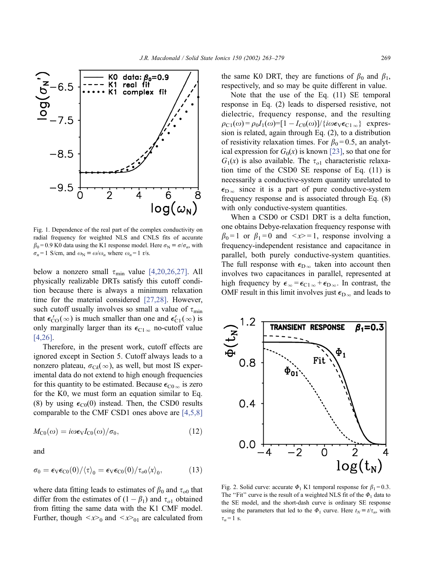<span id="page-6-0"></span>

Fig. 1. Dependence of the real part of the complex conductivity on radial frequency for weighted NLS and CNLS fits of accurate  $\beta_0$  = 0.9 K0 data using the K1 response model. Here  $\sigma_N \equiv \sigma/\sigma_n$ , with  $\sigma_n = 1$  S/cm, and  $\omega_N \equiv \omega/\omega_n$  where  $\omega_n = 1$  r/s.

below a nonzero small  $\tau_{\min}$  value [\[4,20,26,27\].](#page-15-0) All physically realizable DRTs satisfy this cutoff condition because there is always a minimum relaxation time for the material considered [\[27,28\].](#page-15-0) However, such cutoff usually involves so small a value of  $\tau_{\min}$ that  $\epsilon'_{\text{CO}}(\infty)$  is much smaller than one and  $\epsilon'_{\text{C1}}(\infty)$  is only marginally larger than its  $\epsilon_{C1\infty}$  no-cutoff value [\[4,26\].](#page-15-0)

Therefore, in the present work, cutoff effects are ignored except in Section 5. Cutoff always leads to a nonzero plateau,  $\sigma_{C_k}(\infty)$ , as well, but most IS experimental data do not extend to high enough frequencies for this quantity to be estimated. Because  $\epsilon_{\text{CO}\,\infty}$  is zero for the K0, we must form an equation similar to Eq. (8) by using  $\epsilon_{\text{C0}}(0)$  instead. Then, the CSD0 results comparable to the CMF CSD1 ones above are [\[4,5,8\]](#page-15-0)

$$
M_{\rm{C0}}(\omega) = i\omega \epsilon_{\rm{V}} I_{\rm{C0}}(\omega) / \sigma_0, \qquad (12)
$$

and

$$
\sigma_0 = \epsilon_V \epsilon_{C0}(0) / \langle \tau \rangle_0 = \epsilon_V \epsilon_{C0}(0) / \tau_{o0} \langle x \rangle_0, \tag{13}
$$

where data fitting leads to estimates of  $\beta_0$  and  $\tau_{o0}$  that differ from the estimates of  $(1 - \beta_1)$  and  $\tau_{o1}$  obtained from fitting the same data with the K1 CMF model. Further, though  $\langle x \rangle_0$  and  $\langle x \rangle_0$  are calculated from the same K0 DRT, they are functions of  $\beta_0$  and  $\beta_1$ , respectively, and so may be quite different in value.

Note that the use of the Eq. (11) SE temporal response in Eq. (2) leads to dispersed resistive, not dielectric, frequency response, and the resulting  $\rho_{C1}(\omega) = \rho_0 I_1(\omega) = [1 - I_{C0}(\omega)] / \{i\omega \epsilon_V \epsilon_{C1} \}$  expression is related, again through Eq. (2), to a distribution of resistivity relaxation times. For  $\beta_0 = 0.5$ , an analytical expression for  $G_0(x)$  is known [\[23\],](#page-15-0) so that one for  $G_1(x)$  is also available. The  $\tau_{o1}$  characteristic relaxation time of the CSD0 SE response of Eq. (11) is necessarily a conductive-system quantity unrelated to  $\epsilon_{\text{D}\infty}$  since it is a part of pure conductive-system frequency response and is associated through Eq. (8) with only conductive-system quantities.

When a CSD0 or CSD1 DRT is a delta function, one obtains Debye-relaxation frequency response with  $\beta_0 = 1$  or  $\beta_1 = 0$  and  $\langle x \rangle = 1$ , response involving a frequency-independent resistance and capacitance in parallel, both purely conductive-system quantities. The full response with  $\epsilon_{D_\infty}$  taken into account then involves two capacitances in parallel, represented at high frequency by  $\epsilon_{\infty} = \epsilon_{C1\infty} + \epsilon_{D\infty}$ . In contrast, the OMF result in this limit involves just  $\epsilon_{D_\infty}$  and leads to



Fig. 2. Solid curve: accurate  $\Phi_1$  K1 temporal response for  $\beta_1 = 0.3$ . The "Fit" curve is the result of a weighted NLS fit of the  $\Phi_1$  data to the SE model, and the short-dash curve is ordinary SE response using the parameters that led to the  $\Phi_1$  curve. Here  $t_N \equiv t/\tau_n$ , with  $\tau_n = 1$  s.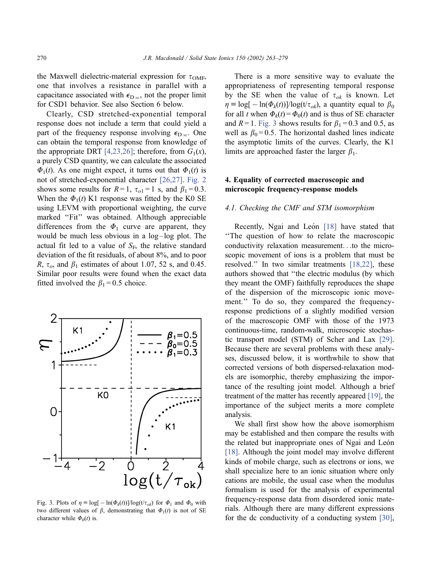the Maxwell dielectric-material expression for  $\tau_{\text{OMF}}$ , one that involves a resistance in parallel with a capacitance associated with  $\epsilon_{D\infty}$ , not the proper limit for CSD1 behavior. See also Section 6 below.

Clearly, CSD stretched-exponential temporal response does not include a term that could yield a part of the frequency response involving  $\epsilon_{D\infty}$ . One can obtain the temporal response from knowledge of the appropriate DRT [\[4,23,26\];](#page-15-0) therefore, from  $G_1(x)$ , a purely CSD quantity, we can calculate the associated  $\Phi_1(t)$ . As one might expect, it turns out that  $\Phi_1(t)$  is not of stretched-exponential character [\[26,27\].](#page-15-0) [Fig. 2](#page-6-0) shows some results for  $R = 1$ ,  $\tau_{01} = 1$  s, and  $\beta_1 = 0.3$ . When the  $\Phi_1(t)$  K1 response was fitted by the K0 SE using LEVM with proportional weighting, the curve marked "Fit" was obtained. Although appreciable differences from the  $\Phi_1$  curve are apparent, they would be much less obvious in a log-log plot. The actual fit led to a value of  $S_F$ , the relative standard deviation of the fit residuals, of about 8%, and to poor R,  $\tau_o$ , and  $\beta_1$  estimates of about 1.07, 52 s, and 0.45. Similar poor results were found when the exact data fitted involved the  $\beta_1 = 0.5$  choice.



Fig. 3. Plots of  $\eta = \log[-\ln(\Phi_k(t))]/\log(t/\tau_{ok})$  for  $\Phi_1$  and  $\Phi_0$  with two different values of  $\beta$ , demonstrating that  $\Phi_1(t)$  is not of SE character while  $\Phi_0(t)$  is.

There is a more sensitive way to evaluate the appropriateness of representing temporal response by the SE when the value of  $\tau_{ok}$  is known. Let  $\eta \equiv \log[-\ln(\Phi_k(t))] / \log(t/\tau_{ok})$ , a quantity equal to  $\beta_0$ for all t when  $\Phi_k(t) = \Phi_0(t)$  and is thus of SE character and  $R = 1$ . Fig. 3 shows results for  $\beta_1 = 0.3$  and 0.5, as well as  $\beta_0 = 0.5$ . The horizontal dashed lines indicate the asymptotic limits of the curves. Clearly, the K1 limits are approached faster the larger  $\beta_1$ .

# 4. Equality of corrected macroscopic and microscopic frequency-response models

#### 4.1. Checking the CMF and STM isomorphism

Recently, Ngai and León [\[18\]](#page-15-0) have stated that ''The question of how to relate the macroscopic conductivity relaxation measurement...to the microscopic movement of ions is a problem that must be resolved.'' In two similar treatments [\[18,22\],](#page-15-0) these authors showed that ''the electric modulus (by which they meant the OMF) faithfully reproduces the shape of the dispersion of the microscopic ionic movement.'' To do so, they compared the frequencyresponse predictions of a slightly modified version of the macroscopic OMF with those of the 1973 continuous-time, random-walk, microscopic stochastic transport model (STM) of Scher and Lax [\[29\].](#page-15-0) Because there are several problems with these analyses, discussed below, it is worthwhile to show that corrected versions of both dispersed-relaxation models are isomorphic, thereby emphasizing the importance of the resulting joint model. Although a brief treatment of the matter has recently appeared [\[19\],](#page-15-0) the importance of the subject merits a more complete analysis.

We shall first show how the above isomorphism may be established and then compare the results with the related but inappropriate ones of Ngai and León [\[18\].](#page-15-0) Although the joint model may involve different kinds of mobile charge, such as electrons or ions, we shall specialize here to an ionic situation where only cations are mobile, the usual case when the modulus formalism is used for the analysis of experimental frequency-response data from disordered ionic materials. Although there are many different expressions for the dc conductivity of a conducting system [\[30\],](#page-15-0)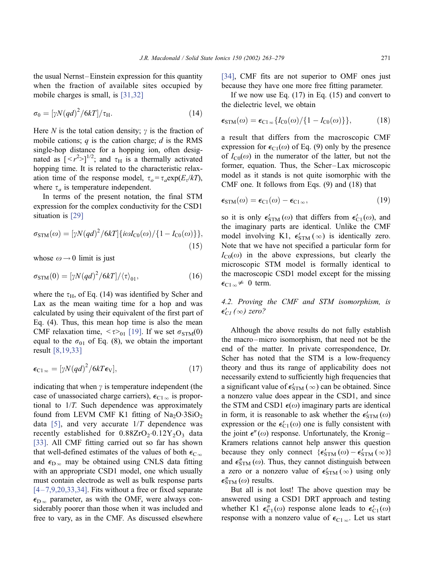the usual Nernst-Einstein expression for this quantity when the fraction of available sites occupied by mobile charges is small, is [\[31,32\]](#page-15-0)

$$
\sigma_0 = \left[\gamma N (q d)^2 / 6kT\right] / \tau_H. \tag{14}
$$

Here N is the total cation density;  $\gamma$  is the fraction of mobile cations;  $q$  is the cation charge;  $d$  is the RMS single-hop distance for a hopping ion, often designated as  $\left[ \langle r^2 \rangle \right]^{1/2}$ ; and  $\tau_H$  is a thermally activated hopping time. It is related to the characteristic relaxation time of the response model,  $\tau_o = \tau_a \exp(E_r/kT)$ , where  $\tau_a$  is temperature independent.

In terms of the present notation, the final STM expression for the complex conductivity for the CSD1 situation is [\[29\]](#page-15-0)

$$
\sigma_{\text{STM}}(\omega) = [\gamma N (q d)^2 / 6 k T] \{ i \omega I_{\text{C0}}(\omega) / \{ 1 - I_{\text{C0}}(\omega) \} \},\tag{15}
$$

whose  $\omega \rightarrow 0$  limit is just

$$
\sigma_{\text{STM}}(0) = \left[\gamma N (q d)^2 / 6kT\right] / \langle\tau\rangle_{01},\tag{16}
$$

where the  $\tau_{\text{H}}$ , of Eq. (14) was identified by Scher and Lax as the mean waiting time for a hop and was calculated by using their equivalent of the first part of Eq. (4). Thus, this mean hop time is also the mean CMF relaxation time,  $\langle \tau \rangle_{01}$  [\[19\].](#page-15-0) If we set  $\sigma_{STM}(0)$ equal to the  $\sigma_{01}$  of Eq. (8), we obtain the important result [\[8,19,33\]](#page-15-0)

$$
\epsilon_{\text{Cl}\,\infty} = [\gamma N (q d)^2 / 6kT \epsilon_{\text{V}}],\tag{17}
$$

indicating that when  $\gamma$  is temperature independent (the case of unassociated charge carriers),  $\epsilon_{C1\,\infty}$  is proportional to 1/T. Such dependence was approximately found from LEVM CMF K1 fitting of  $Na<sub>2</sub>O·3SiO<sub>2</sub>$ data [\[5\]](#page-15-0), and very accurate  $1/T$  dependence was recently established for  $0.88ZrO<sub>2</sub>·0.12Y<sub>2</sub>O<sub>3</sub>$  data [\[33\].](#page-15-0) All CMF fitting carried out so far has shown that well-defined estimates of the values of both  $\epsilon_{\text{C}_{\infty}}$ and  $\epsilon_{\text{D}\infty}$  may be obtained using CNLS data fitting with an appropriate CSD1 model, one which usually must contain electrode as well as bulk response parts  $[4-7,9,20,33,34]$ . Fits without a free or fixed separate  $\epsilon_{\text{D}_{\infty}}$  parameter, as with the OMF, were always considerably poorer than those when it was included and free to vary, as in the CMF. As discussed elsewhere

[\[34\],](#page-15-0) CMF fits are not superior to OMF ones just because they have one more free fitting parameter.

If we now use Eq.  $(17)$  in Eq.  $(15)$  and convert to the dielectric level, we obtain

$$
\epsilon_{\text{STM}}(\omega) = \epsilon_{\text{Cl}\,\infty} \{ I_{\text{C0}}(\omega) / \{ 1 - I_{\text{C0}}(\omega) \} \},\tag{18}
$$

a result that differs from the macroscopic CMF expression for  $\epsilon_{C1}(\omega)$  of Eq. (9) only by the presence of  $I_{\text{CO}}(\omega)$  in the numerator of the latter, but not the former, equation. Thus, the Scher-Lax microscopic model as it stands is not quite isomorphic with the CMF one. It follows from Eqs. (9) and (18) that

$$
\epsilon_{\text{STM}}(\omega) = \epsilon_{\text{Cl}}(\omega) - \epsilon_{\text{Cl}\,\infty},\tag{19}
$$

so it is only  $\epsilon'_{\text{STM}}(\omega)$  that differs from  $\epsilon'_{\text{C1}}(\omega)$ , and the imaginary parts are identical. Unlike the CMF model involving K1,  $\epsilon'_{\text{STM}}(\infty)$  is identically zero. Note that we have not specified a particular form for  $I_{\text{C0}}(\omega)$  in the above expressions, but clearly the microscopic STM model is formally identical to the macroscopic CSD1 model except for the missing  $\epsilon_{C1\infty} \neq 0$  term.

4.2. Proving the CMF and STM isomorphism, is  $\epsilon'_{CI}(\infty)$  zero?

Although the above results do not fully establish the macro –micro isomorphism, that need not be the end of the matter. In private correspondence, Dr. Scher has noted that the STM is a low-frequency theory and thus its range of applicability does not necessarily extend to sufficiently high frequencies that a significant value of  $\epsilon'_{STM} (\infty)$  can be obtained. Since a nonzero value does appear in the CSD1, and since the STM and CSD1  $\epsilon(\omega)$  imaginary parts are identical in form, it is reasonable to ask whether the  $\epsilon'_{STM}(\omega)$ expression or the  $\epsilon'_{C_1}(\omega)$  one is fully consistent with the joint  $\epsilon''(\omega)$  response. Unfortunately, the Kronig-Kramers relations cannot help answer this question because they only connect  $\{\epsilon'_{STM}(\omega) - \epsilon'_{STM}(\infty)\}\$ and  $\epsilon''_{\text{STM}}(\omega)$ . Thus, they cannot distinguish between a zero or a nonzero value of  $\epsilon'_{STM} (\infty)$  using only  $\epsilon''_{\text{STM}}(\omega)$  results.

But all is not lost! The above question may be answered using a CSD1 DRT approach and testing whether K1  $\epsilon_{C1}^{\prime\prime}(\omega)$  response alone leads to  $\epsilon_{C1}^{\prime}(\omega)$ response with a nonzero value of  $\epsilon_{C1\infty}$ . Let us start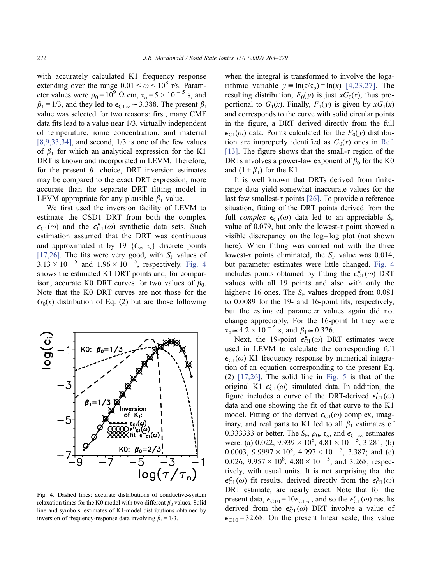<span id="page-9-0"></span>with accurately calculated K1 frequency response extending over the range  $0.01 \le \omega \le 10^8$  r/s. Parameter values were  $\rho_0 = 10^9 \Omega$  cm,  $\tau_o = 5 \times 10^{-5}$  s, and  $\beta_1 = 1/3$ , and they led to  $\epsilon_{C1\,\infty} \approx 3.388$ . The present  $\beta_1$ value was selected for two reasons: first, many CMF data fits lead to a value near 1/3, virtually independent of temperature, ionic concentration, and material  $[8,9,33,34]$ , and second,  $1/3$  is one of the few values of  $\beta_1$  for which an analytical expression for the K1 DRT is known and incorporated in LEVM. Therefore, for the present  $\beta_1$  choice, DRT inversion estimates may be compared to the exact DRT expression, more accurate than the separate DRT fitting model in LEVM appropriate for any plausible  $\beta_1$  value.

We first used the inversion facility of LEVM to estimate the CSD1 DRT from both the complex  $\epsilon_{C1}(\omega)$  and the  $\epsilon_{C1}''(\omega)$  synthetic data sets. Such estimation assumed that the DRT was continuous and approximated it by 19  $\{C_i, \tau_i\}$  discrete points [\[17,26\]](#page-15-0). The fits were very good, with  $S_F$  values of  $3.13 \times 10^{-5}$  and  $1.96 \times 10^{-5}$ , respectively. Fig. 4 shows the estimated K1 DRT points and, for comparison, accurate K0 DRT curves for two values of  $\beta_0$ . Note that the K0 DRT curves are not those for the  $G_0(x)$  distribution of Eq. (2) but are those following



Fig. 4. Dashed lines: accurate distributions of conductive-system relaxation times for the K0 model with two different  $\beta_0$  values. Solid line and symbols: estimates of K1-model distributions obtained by inversion of frequency-response data involving  $\beta_1 = 1/3$ .

when the integral is transformed to involve the logarithmic variable  $y = \ln(\tau/\tau_o) = \ln(x)$  [\[4,23,27\].](#page-15-0) The resulting distribution,  $F_0(y)$  is just  $xG_0(x)$ , thus proportional to  $G_1(x)$ . Finally,  $F_1(y)$  is given by  $xG_1(x)$ and corresponds to the curve with solid circular points in the figure, a DRT derived directly from the full  $\epsilon_{C1}(\omega)$  data. Points calculated for the  $F_0(y)$  distribution are improperly identified as  $G_0(x)$  ones in [Ref.](#page-15-0) [13]. The figure shows that the small- $\tau$  region of the DRTs involves a power-law exponent of  $\beta_0$  for the K0 and  $(1 + \beta_1)$  for the K1.

It is well known that DRTs derived from finiterange data yield somewhat inaccurate values for the last few smallest- $\tau$  points [\[26\].](#page-15-0) To provide a reference situation, fitting of the DRT points derived from the full *complex*  $\epsilon_{C1}(\omega)$  data led to an appreciable  $S_F$ value of 0.079, but only the lowest- $\tau$  point showed a visible discrepancy on the log-log plot (not shown here). When fitting was carried out with the three lowest- $\tau$  points eliminated, the S<sub>F</sub> value was 0.014, but parameter estimates were little changed. Fig. 4 includes points obtained by fitting the  $\epsilon_{\text{C1}}^{"}(ω)$  DRT values with all 19 points and also with only the higher- $\tau$  16 ones. The S<sub>F</sub> values dropped from 0.081 to 0.0089 for the 19- and 16-point fits, respectively, but the estimated parameter values again did not change appreciably. For the 16-point fit they were  $\tau_o \approx 4.2 \times 10^{-5}$  s, and  $\beta_1 \approx 0.326$ .

Next, the 19-point  $\epsilon_{C1}^{"}(\omega)$  DRT estimates were used in LEVM to calculate the corresponding full  $\epsilon_{C1}(\omega)$  K1 frequency response by numerical integration of an equation corresponding to the present Eq.  $(2)$  [\[17,26\].](#page-15-0) The solid line in [Fig. 5](#page-10-0) is that of the original K1  $\epsilon'_{C_1}(\omega)$  simulated data. In addition, the figure includes a curve of the DRT-derived  $\epsilon'_{C_1}(\omega)$ data and one showing the fit of that curve to the K1 model. Fitting of the derived  $\epsilon_{C_1}(\omega)$  complex, imaginary, and real parts to K1 led to all  $\beta_1$  estimates of 0.3333333 or better. The  $S_F$ ,  $\rho_0$ ,  $\tau_o$ , and  $\epsilon_{C1}$   $\infty$  estimates were: (a) 0.022,  $9.939 \times 10^8$ ,  $4.81 \times 10^{-5}$ ,  $3.281$ ; (b) 0.0003,  $9.9997 \times 10^8$ ,  $4.997 \times 10^{-5}$ , 3.387; and (c) 0.026,  $9.957 \times 10^8$ ,  $4.80 \times 10^{-5}$ , and 3.268, respectively, with usual units. It is not surprising that the  $\epsilon_{\text{C1}}''(\omega)$  fit results, derived directly from the  $\epsilon_{\text{C1}}''(\omega)$ DRT estimate, are nearly exact. Note that for the present data,  $\epsilon_{C10} = 10\epsilon_{C1\,\infty}$ , and so the  $\epsilon'_{C1}(\omega)$  results derived from the  $\epsilon_{C_1}^{"}(ω)$  DRT involve a value of  $\epsilon_{C10}$  = 32.68. On the present linear scale, this value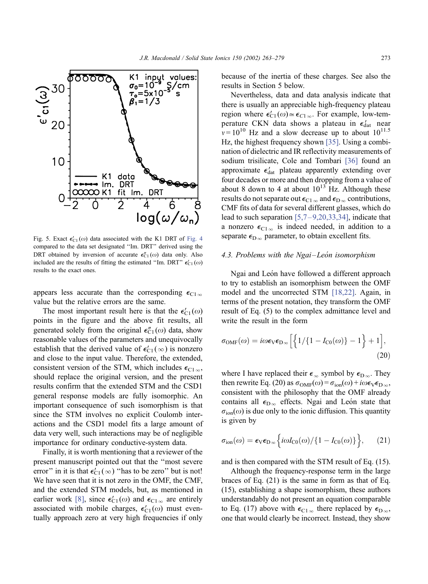<span id="page-10-0"></span>

Fig. 5. Exact  $\epsilon'_{C1}(\omega)$  data associated with the K1 DRT of [Fig. 4](#page-9-0) compared to the data set designated ''Im. DRT'' derived using the DRT obtained by inversion of accurate  $\epsilon_{\text{C1}}^{"}(\omega)$  data only. Also included are the results of fitting the estimated "Im. DRT"  $\epsilon'_{C1}(\omega)$ results to the exact ones.

appears less accurate than the corresponding  $\epsilon_{C1\,\infty}$ value but the relative errors are the same.

The most important result here is that the  $\epsilon'_{C_1}(\omega)$ points in the figure and the above fit results, all generated solely from the original  $\epsilon_{\text{C1}}^{"}(ω)$  data, show reasonable values of the parameters and unequivocally establish that the derived value of  $\epsilon'_{C1}(\infty)$  is nonzero and close to the input value. Therefore, the extended, consistent version of the STM, which includes  $\epsilon_{C1\,\infty}$ , should replace the original version, and the present results confirm that the extended STM and the CSD1 general response models are fully isomorphic. An important consequence of such isomorphism is that since the STM involves no explicit Coulomb interactions and the CSD1 model fits a large amount of data very well, such interactions may be of negligible importance for ordinary conductive-system data.

Finally, it is worth mentioning that a reviewer of the present manuscript pointed out that the ''most severe error" in it is that  $\epsilon'_{C1}(\infty)$  "has to be zero" but is not! We have seen that it is not zero in the OMF, the CMF, and the extended STM models, but, as mentioned in earlier work [\[8\]](#page-15-0), since  $\epsilon'_{C1}(\omega)$  and  $\epsilon_{C1\omega}$  are entirely associated with mobile charges,  $\epsilon'_{C1}(\omega)$  must eventually approach zero at very high frequencies if only

because of the inertia of these charges. See also the results in Section 5 below.

Nevertheless, data and data analysis indicate that there is usually an appreciable high-frequency plateau region where  $\epsilon'_{C1}(\omega) \approx \epsilon_{C1\infty}$ . For example, low-temperature CKN data shows a plateau in  $\epsilon_{\text{dat}}'$  near  $v = 10^{10}$  Hz and a slow decrease up to about  $10^{11.5}$ Hz, the highest frequency shown [\[35\].](#page-15-0) Using a combination of dielectric and IR reflectivity measurements of sodium trisilicate, Cole and Tombari [\[36\]](#page-15-0) found an approximate  $\epsilon_{\text{dat}}'$  plateau apparently extending over four decades or more and then dropping from a value of about 8 down to 4 at about  $10^{13}$  Hz. Although these results do not separate out  $\epsilon_{C1\,\infty}$  and  $\epsilon_{D\,\infty}$  contributions, CMF fits of data for several different glasses, which do lead to such separation  $[5,7-9,20,33,34]$ , indicate that a nonzero  $\epsilon_{C1\infty}$  is indeed needed, in addition to a separate  $\epsilon_{\text{D}_{\infty}}$  parameter, to obtain excellent fits.

#### 4.3. Problems with the Ngai-León isomorphism

Ngai and León have followed a different approach to try to establish an isomorphism between the OMF model and the uncorrected STM [\[18,22\].](#page-15-0) Again, in terms of the present notation, they transform the OMF result of Eq. (5) to the complex admittance level and write the result in the form

$$
\sigma_{\text{OMF}}(\omega) = i\omega \epsilon_{\text{V}} \epsilon_{\text{D}\infty} \left[ \left\{ 1/\{1 - I_{\text{C0}}(\omega)\} - 1 \right\} + 1 \right],\tag{20}
$$

where I have replaced their  $\epsilon_{\infty}$  symbol by  $\epsilon_{D_{\infty}}$ . They then rewrite Eq. (20) as  $\sigma_{OMF}(\omega) = \sigma_{ion}(\omega) + i\omega \epsilon_V \epsilon_{D\infty}$ , consistent with the philosophy that the OMF already contains all  $\epsilon_{D_{\infty}}$  effects. Ngai and Leon state that  $\sigma_{\text{ion}}(\omega)$  is due only to the ionic diffusion. This quantity is given by

$$
\sigma_{\text{ion}}(\omega) = \epsilon_{\text{V}} \epsilon_{\text{D}_{\infty}} \Big\{ i \omega I_{\text{C0}}(\omega) / \{1 - I_{\text{C0}}(\omega)\}\Big\},\qquad(21)
$$

and is then compared with the STM result of Eq. (15).

Although the frequency-response term in the large braces of Eq. (21) is the same in form as that of Eq. (15), establishing a shape isomorphism, these authors understandably do not present an equation comparable to Eq. (17) above with  $\epsilon_{C1\infty}$  there replaced by  $\epsilon_{D\infty}$ , one that would clearly be incorrect. Instead, they show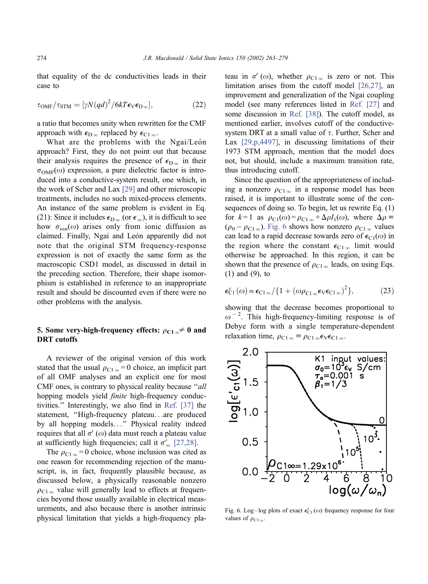<span id="page-11-0"></span>that equality of the dc conductivities leads in their case to

$$
\tau_{\text{OMF}}/\tau_{\text{STM}} = [\gamma N (q d)^2 / 6kT \epsilon_{\text{V}} \epsilon_{\text{D}\infty}], \tag{22}
$$

a ratio that becomes unity when rewritten for the CMF approach with  $\epsilon_{\text{D}\infty}$  replaced by  $\epsilon_{\text{C1}\infty}$ .

What are the problems with the Ngai/León approach? First, they do not point out that because their analysis requires the presence of  $\epsilon_{\text{D}\infty}$  in their  $\sigma_{\text{OMF}}(\omega)$  expression, a pure dielectric factor is introduced into a conductive-system result, one which, in the work of Scher and Lax [\[29\]](#page-15-0) and other microscopic treatments, includes no such mixed-process elements. An instance of the same problem is evident in Eq. (21): Since it includes  $\epsilon_{\text{D}_{\infty}}$  (or  $\epsilon_{\infty}$ ), it is difficult to see how  $\sigma_{\text{ion}}(\omega)$  arises only from ionic diffusion as claimed. Finally, Ngai and León apparently did not note that the original STM frequency-response expression is not of exactly the same form as the macroscopic CSD1 model, as discussed in detail in the preceding section. Therefore, their shape isomorphism is established in reference to an inappropriate result and should be discounted even if there were no other problems with the analysis.

# 5. Some very-high-frequency effects:  $\rho_{C1\infty} \neq 0$  and DRT cutoffs

A reviewer of the original version of this work stated that the usual  $\rho_{C1\,\infty} = 0$  choice, an implicit part of all OMF analyses and an explicit one for most CMF ones, is contrary to physical reality because "all hopping models yield *finite* high-frequency conductivities.'' Interestingly, we also find in [Ref. \[37\]](#page-15-0) the statement, ''High-frequency plateau...are produced by all hopping models...'' Physical reality indeed requires that all  $\sigma'(\omega)$  data must reach a plateau value at sufficiently high frequencies; call it  $\sigma'_{\infty}$  [\[27,28\].](#page-15-0)

The  $\rho_{C1\infty} = 0$  choice, whose inclusion was cited as one reason for recommending rejection of the manuscript, is, in fact, frequently plausible because, as discussed below, a physically reasonable nonzero  $\rho_{C1\infty}$  value will generally lead to effects at frequencies beyond those usually available in electrical measurements, and also because there is another intrinsic physical limitation that yields a high-frequency plateau in  $\sigma'(\omega)$ , whether  $\rho_{C1\infty}$  is zero or not. This limitation arises from the cutoff model [\[26,27\],](#page-15-0) an improvement and generalization of the Ngai coupling model (see many references listed in [Ref. \[27\]](#page-15-0) and some discussion in [Ref. \[38\]\)](#page-15-0). The cutoff model, as mentioned earlier, involves cutoff of the conductivesystem DRT at a small value of  $\tau$ . Further, Scher and Lax [\[29,p,4497\],](#page-15-0) in discussing limitations of their 1973 STM approach, mention that the model does not, but should, include a maximum transition rate, thus introducing cutoff.

Since the question of the appropriateness of including a nonzero  $\rho_{C1\infty}$  in a response model has been raised, it is important to illustrate some of the consequences of doing so. To begin, let us rewrite Eq. (1) for  $k=1$  as  $\rho_{C1}(\omega) = \rho_{C1\infty} + \Delta \rho I_1(\omega)$ , where  $\Delta \rho =$  $(\rho_0 - \rho_{C1\infty})$ . Fig. 6 shows how nonzero  $\rho_{C1\infty}$  values can lead to a rapid decrease towards zero of  $\epsilon_{C1}(\omega)$  in the region where the constant  $\epsilon_{C1_\infty}$  limit would otherwise be approached. In this region, it can be shown that the presence of  $\rho_{C1\infty}$  leads, on using Eqs. (1) and (9), to

$$
\epsilon'_{\text{C1}}(\omega) \simeq \epsilon_{\text{C1}\,\infty} / \{1 + (\omega \rho_{\text{C1}\,\infty} \epsilon_{\text{V}} \epsilon_{\text{C1}\,\infty})^2\},\tag{23}
$$

showing that the decrease becomes proportional to  $\omega^{-2}$ . This high-frequency-limiting response is of Debye form with a single temperature-dependent relaxation time,  $\rho_{C1\infty} \equiv \rho_{C1\infty} \epsilon_V \epsilon_{C1\infty}$ .



Fig. 6. Log-log plots of exact  $\epsilon'_{C1}(\omega)$  frequency response for four values of  $\rho_{C1\infty}$ .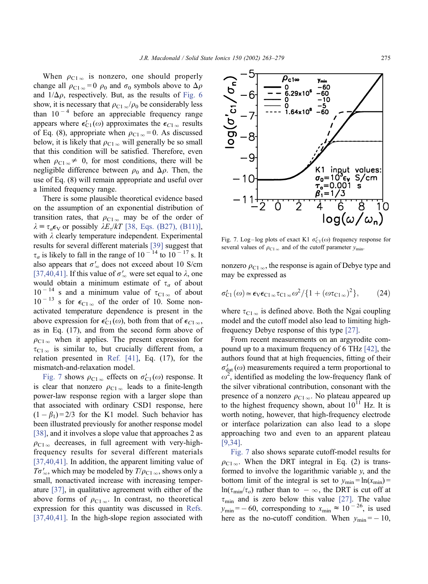<span id="page-12-0"></span>When  $\rho_{C1\infty}$  is nonzero, one should properly change all  $\rho_{C1\infty} = 0$   $\rho_0$  and  $\sigma_0$  symbols above to  $\Delta \rho$ and  $1/\Delta\rho$ , respectively. But, as the results of [Fig. 6](#page-11-0) show, it is necessary that  $\rho_{C1\infty}/\rho_0$  be considerably less than  $10^{-4}$  before an appreciable frequency range appears where  $\epsilon'_{C1}(\omega)$  approximates the  $\epsilon_{C1}$  results of Eq. (8), appropriate when  $\rho_{C1\infty} = 0$ . As discussed below, it is likely that  $\rho_{C1\infty}$  will generally be so small that this condition will be satisfied. Therefore, even when  $\rho_{C1\,\infty} \neq 0$ , for most conditions, there will be negligible difference between  $\rho_0$  and  $\Delta \rho$ . Then, the use of Eq. (8) will remain appropriate and useful over a limited frequency range.

There is some plausible theoretical evidence based on the assumption of an exponential distribution of transition rates, that  $\rho_{C1\,\infty}$  may be of the order of  $\lambda = \tau_a \epsilon_V$  or possibly  $\lambda E_r / kT$  [\[38, Eqs. \(B27\), \(B11\)\],](#page-15-0) with  $\lambda$  clearly temperature independent. Experimental results for several different materials [\[39\]](#page-15-0) suggest that  $\tau_a$  is likely to fall in the range of 10<sup>-14</sup> to 10<sup>-17</sup> s. It also appears that  $\sigma'_{\infty}$  does not exceed about 10 S/cm [\[37,40,41\].](#page-15-0) If this value of  $\sigma'_{\infty}$  were set equal to  $\lambda$ , one would obtain a minimum estimate of  $\tau_a$  of about  $10^{-14}$  s and a minimum value of  $\tau_{C1\infty}$  of about  $10^{-13}$  s for  $\epsilon_{C1\infty}$  of the order of 10. Some nonactivated temperature dependence is present in the above expression for  $\epsilon'_{C1}(\omega)$ , both from that of  $\epsilon_{C1\,\infty}$ , as in Eq. (17), and from the second form above of  $\rho_{C1\infty}$  when it applies. The present expression for  $\tau_{C1\infty}$  is similar to, but crucially different from, a relation presented in [Ref. \[41\],](#page-16-0) Eq. (17), for the mismatch-and-relaxation model.

Fig. 7 shows  $\rho_{C1\infty}$  effects on  $\sigma'_{C1}(\omega)$  response. It is clear that nonzero  $\rho_{C1\infty}$  leads to a finite-length power-law response region with a larger slope than that associated with ordinary CSD1 response, here  $(1 - \beta_1) = 2/3$  for the K1 model. Such behavior has been illustrated previously for another response model [\[38\],](#page-15-0) and it involves a slope value that approaches 2 as  $\rho_{C1\infty}$  decreases, in full agreement with very-highfrequency results for several different materials [\[37,40,41\].](#page-15-0) In addition, the apparent limiting value of  $T\sigma'_{\infty}$ , which may be modeled by  $T/\rho_{C1\infty}$ , shows only a small, nonactivated increase with increasing temperature [\[37\],](#page-15-0) in qualitative agreement with either of the above forms of  $\rho_{C1\infty}$ . In contrast, no theoretical expression for this quantity was discussed in [Refs.](#page-15-0) [37,40,41]. In the high-slope region associated with



Fig. 7. Log-log plots of exact K1  $\sigma_{C1}'(\omega)$  frequency response for several values of  $\rho_{C1\infty}$  and of the cutoff parameter  $y_{\text{min}}$ .

nonzero  $\rho_{C1\,\infty}$ , the response is again of Debye type and may be expressed as

$$
\sigma'_{\text{Cl}}(\omega) \simeq \epsilon_{\text{V}} \epsilon_{\text{Cl}\,\infty} \tau_{\text{Cl}\,\infty} \omega^2 / \{1 + (\omega \tau_{\text{Cl}\,\infty})^2\},\tag{24}
$$

where  $\tau_{C1\infty}$  is defined above. Both the Ngai coupling model and the cutoff model also lead to limiting highfrequency Debye response of this type [\[27\].](#page-15-0)

From recent measurements on an argyrodite compound up to a maximum frequency of 6 THz [\[42\],](#page-16-0) the authors found that at high frequencies, fitting of their  $\sigma'_{\text{dat}}(\omega)$  measurements required a term proportional to  $\omega^2$ , identified as modeling the low-frequency flank of the silver vibrational contribution, consonant with the presence of a nonzero  $\rho_{C1\infty}$ . No plateau appeared up to the highest frequency shown, about  $10^{11}$  Hz. It is worth noting, however, that high-frequency electrode or interface polarization can also lead to a slope approaching two and even to an apparent plateau [\[9,34\].](#page-15-0)

Fig. 7 also shows separate cutoff-model results for  $\rho_{C1\infty}$ . When the DRT integral in Eq. (2) is transformed to involve the logarithmic variable y, and the bottom limit of the integral is set to  $y_{\text{min}} = \ln(x_{\text{min}})$  $ln(\tau_{min}/\tau_o)$  rather than to  $-\infty$ , the DRT is cut off at  $\tau_{\rm min}$  and is zero below this value [\[27\].](#page-15-0) The value  $y_{\text{min}} = -60$ , corresponding to  $x_{\text{min}} \approx 10^{-26}$ , is used here as the no-cutoff condition. When  $y_{\text{min}} = -10$ ,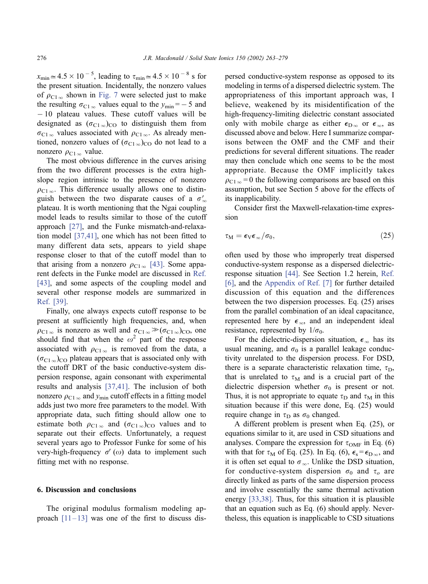$x_{\text{min}} \approx 4.5 \times 10^{-5}$ , leading to  $\tau_{\text{min}} \approx 4.5 \times 10^{-8}$  s for the present situation. Incidentally, the nonzero values of  $\rho_{C1\infty}$  shown in [Fig. 7](#page-12-0) were selected just to make the resulting  $\sigma_{C1\infty}$  values equal to the  $y_{\text{min}} = -5$  and  $-10$  plateau values. These cutoff values will be designated as  $(\sigma_{C1\infty})_{C\Omega}$  to distinguish them from  $\sigma_{C1\infty}$  values associated with  $\rho_{C1\infty}$ . As already mentioned, nonzero values of  $(\sigma_{C1\infty})_{CO}$  do not lead to a nonzero  $\rho_{C1\infty}$  value.

The most obvious difference in the curves arising from the two different processes is the extra highslope region intrinsic to the presence of nonzero  $\rho_{C1\,\infty}$ . This difference usually allows one to distinguish between the two disparate causes of a  $\sigma'_{\infty}$ plateau. It is worth mentioning that the Ngai coupling model leads to results similar to those of the cutoff approach [\[27\],](#page-15-0) and the Funke mismatch-and-relaxation model [\[37,41\],](#page-15-0) one which has not been fitted to many different data sets, appears to yield shape response closer to that of the cutoff model than to that arising from a nonzero  $\rho_{C1\infty}$  [\[43\].](#page-16-0) Some apparent defects in the Funke model are discussed in [Ref.](#page-16-0) [43], and some aspects of the coupling model and several other response models are summarized in [Ref. \[39\]](#page-15-0).

Finally, one always expects cutoff response to be present at sufficiently high frequencies, and, when  $\rho_{C1\infty}$  is nonzero as well and  $\sigma_{C1\infty} \gg (\sigma_{C1\infty})_{C\text{O}}$ , one should find that when the  $\omega^2$  part of the response associated with  $\rho_{C1\infty}$  is removed from the data, a  $(\sigma_{C1\,\infty})_{\rm CO}$  plateau appears that is associated only with the cutoff DRT of the basic conductive-system dispersion response, again consonant with experimental results and analysis [\[37,41\].](#page-15-0) The inclusion of both nonzero  $\rho_{C1\infty}$  and  $y_{min}$  cutoff effects in a fitting model adds just two more free parameters to the model. With appropriate data, such fitting should allow one to estimate both  $\rho_{C1\infty}$  and  $(\sigma_{C1\infty})_{C0}$  values and to separate out their effects. Unfortunately, a request several years ago to Professor Funke for some of his very-high-frequency  $\sigma'(\omega)$  data to implement such fitting met with no response.

#### 6. Discussion and conclusions

The original modulus formalism modeling approach  $[11-13]$  was one of the first to discuss dispersed conductive-system response as opposed to its modeling in terms of a dispersed dielectric system. The appropriateness of this important approach was, I believe, weakened by its misidentification of the high-frequency-limiting dielectric constant associated only with mobile charge as either  $\epsilon_{D_\infty}$  or  $\epsilon_\infty$ , as discussed above and below. Here I summarize comparisons between the OMF and the CMF and their predictions for several different situations. The reader may then conclude which one seems to be the most appropriate. Because the OMF implicitly takes  $\rho_{C1\,\infty}$  = 0 the following comparisons are based on this assumption, but see Section 5 above for the effects of its inapplicability.

Consider first the Maxwell-relaxation-time expression

$$
\tau_{\rm M} = \epsilon_{\rm V} \epsilon_{\infty} / \sigma_0, \qquad (25)
$$

often used by those who improperly treat dispersed conductive-system response as a dispersed dielectricresponse situation [\[44\].](#page-16-0) See Section 1.2 herein, [Ref.](#page-15-0) [6], and the [Appendix of Ref. \[7\]](#page-15-0) for further detailed discussion of this equation and the differences between the two dispersion processes. Eq. (25) arises from the parallel combination of an ideal capacitance, represented here by  $\epsilon_{\infty}$ , and an independent ideal resistance, represented by  $1/\sigma_0$ .

For the dielectric-dispersion situation,  $\epsilon_{\infty}$  has its usual meaning, and  $\sigma_0$  is a parallel leakage conductivity unrelated to the dispersion process. For DSD, there is a separate characteristic relaxation time,  $\tau_D$ , that is unrelated to  $\tau_M$  and is a crucial part of the dielectric dispersion whether  $\sigma_0$  is present or not. Thus, it is not appropriate to equate  $\tau_D$  and  $\tau_M$  in this situation because if this were done, Eq. (25) would require change in  $\tau_D$  as  $\sigma_0$  changed.

A different problem is present when Eq. (25), or equations similar to it, are used in CSD situations and analyses. Compare the expression for  $\tau_{OMF}$  in Eq. (6) with that for  $\tau_M$  of Eq. (25). In Eq. (6),  $\epsilon_s = \epsilon_{D_\infty}$ , and it is often set equal to  $\sigma_{\infty}$ . Unlike the DSD situation, for conductive-system dispersion  $\sigma_0$  and  $\tau_0$  are directly linked as parts of the same dispersion process and involve essentially the same thermal activation energy [\[33,38\].](#page-15-0) Thus, for this situation it is plausible that an equation such as Eq. (6) should apply. Nevertheless, this equation is inapplicable to CSD situations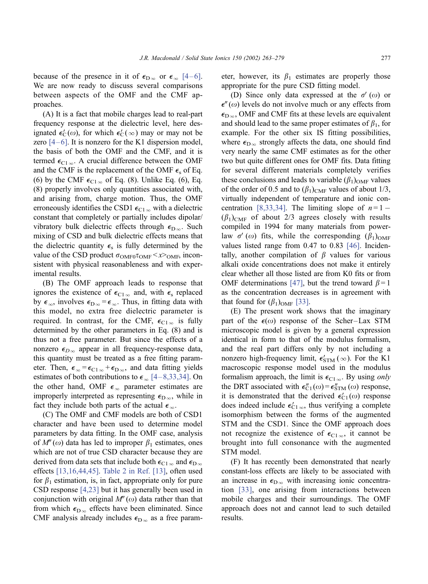because of the presence in it of  $\epsilon_{D_\infty}$  or  $\epsilon_{\infty}$  [4–6]. We are now ready to discuss several comparisons between aspects of the OMF and the CMF approaches.

(A) It is a fact that mobile charges lead to real-part frequency response at the dielectric level, here designated  $\epsilon'_{\rm C}(\omega)$ , for which  $\epsilon'_{\rm C}(\infty)$  may or may not be zero  $[4-6]$ . It is nonzero for the K1 dispersion model. the basis of both the OMF and the CMF, and it is termed  $\epsilon_{C1\,\infty}$ . A crucial difference between the OMF and the CMF is the replacement of the OMF  $\epsilon_s$  of Eq. (6) by the CMF  $\epsilon_{C1\infty}$  of Eq. (8). Unlike Eq. (6), Eq. (8) properly involves only quantities associated with, and arising from, charge motion. Thus, the OMF erroneously identifies the CSD1  $\epsilon_{C1\infty}$  with a dielectric constant that completely or partially includes dipolar/ vibratory bulk dielectric effects through  $\epsilon_{D\infty}$ . Such mixing of CSD and bulk dielectric effects means that the dielectric quantity  $\epsilon_s$  is fully determined by the value of the CSD product  $\sigma_{\text{OMF0}}\tau_{\text{OMF}} < x >_{\text{OMF}}$ , inconsistent with physical reasonableness and with experimental results.

(B) The OMF approach leads to response that ignores the existence of  $\epsilon_{C1\infty}$  and, with  $\epsilon_s$  replaced by  $\epsilon_{\infty}$ , involves  $\epsilon_{\text{D}\infty} = \epsilon_{\infty}$ . Thus, in fitting data with this model, no extra free dielectric parameter is required. In contrast, for the CMF,  $\epsilon_{C1}$  is fully determined by the other parameters in Eq. (8) and is thus not a free parameter. But since the effects of a nonzero  $\epsilon_{D\infty}$  appear in all frequency-response data, this quantity must be treated as a free fitting parameter. Then,  $\epsilon_{\infty} = \epsilon_{C1\,\infty} + \epsilon_{D\,\infty}$ , and data fitting yields estimates of both contributions to  $\epsilon_{\infty}$  [4–8,33,34]. On the other hand, OMF  $\epsilon_{\infty}$  parameter estimates are improperly interpreted as representing  $\epsilon_{D\infty}$ , while in fact they include both parts of the actual  $\epsilon_{\infty}$ .

(C) The OMF and CMF models are both of CSD1 character and have been used to determine model parameters by data fitting. In the OMF case, analysis of  $M''(\omega)$  data has led to improper  $\beta_1$  estimates, ones which are not of true CSD character because they are derived from data sets that include both  $\epsilon_{C1\,\infty}$  and  $\epsilon_{D\,\infty}$ effects [\[13,16,44,45\].](#page-15-0) [Table 2 in Ref. \[13\],](#page-15-0) often used for  $\beta_1$  estimation, is, in fact, appropriate only for pure CSD response [\[4,23\]](#page-15-0) but it has generally been used in conjunction with original  $M''(\omega)$  data rather than that from which  $\epsilon_{D_{\infty}}$  effects have been eliminated. Since CMF analysis already includes  $\epsilon_{D\infty}$  as a free parameter, however, its  $\beta_1$  estimates are properly those appropriate for the pure CSD fitting model.

(D) Since only data expressed at the  $\sigma'(\omega)$  or  $\epsilon''(\omega)$  levels do not involve much or any effects from  $\epsilon_{\text{D}_{\infty}}$ , OMF and CMF fits at these levels are equivalent and should lead to the same proper estimates of  $\beta_1$ , for example. For the other six IS fitting possibilities, where  $\epsilon_{\text{D}\infty}$  strongly affects the data, one should find very nearly the same CMF estimates as for the other two but quite different ones for OMF fits. Data fitting for several different materials completely verifies these conclusions and leads to variable  $(\beta_1)_{\text{OMF}}$  values of the order of 0.5 and to  $(\beta_1)_{\text{CMF}}$  values of about 1/3, virtually independent of temperature and ionic con-centration [\[8,33,34\].](#page-15-0) The limiting slope of  $n=1$  –  $(\beta_1)_{\text{CMF}}$  of about 2/3 agrees closely with results compiled in 1994 for many materials from powerlaw  $\sigma'(\omega)$  fits, while the corresponding  $(\beta_1)_{\text{OMF}}$ values listed range from 0.47 to 0.83 [\[46\].](#page-16-0) Incidentally, another compilation of  $\beta$  values for various alkali oxide concentrations does not make it entirely clear whether all those listed are from K0 fits or from OMF determinations [\[47\],](#page-16-0) but the trend toward  $\beta = 1$ as the concentration decreases is in agreement with that found for  $(\beta_1)_{\text{OMF}}$  [\[33\].](#page-15-0)

(E) The present work shows that the imaginary part of the  $\epsilon(\omega)$  response of the Scher-Lax STM microscopic model is given by a general expression identical in form to that of the modulus formalism, and the real part differs only by not including a nonzero high-frequency limit,  $\epsilon'_{\text{STM}}(\infty)$ . For the K1 macroscopic response model used in the modulus formalism approach, the limit is  $\epsilon_{C1\infty}$ . By using only the DRT associated with  $\epsilon_{C1}^{"}(\omega) = \epsilon_{STM}^{"}(\omega)$  response, it is demonstrated that the derived  $\epsilon'_{C_1}(\omega)$  response does indeed include  $\epsilon'_{C1\infty}$ , thus verifying a complete isomorphism between the forms of the augmented STM and the CSD1. Since the OMF approach does not recognize the existence of  $\epsilon_{C1\infty}$ , it cannot be brought into full consonance with the augmented STM model.

(F) It has recently been demonstrated that nearly constant-loss effects are likely to be associated with an increase in  $\epsilon_{D_{\infty}}$  with increasing ionic concentration [\[33\],](#page-15-0) one arising from interactions between mobile charges and their surroundings. The OMF approach does not and cannot lead to such detailed results.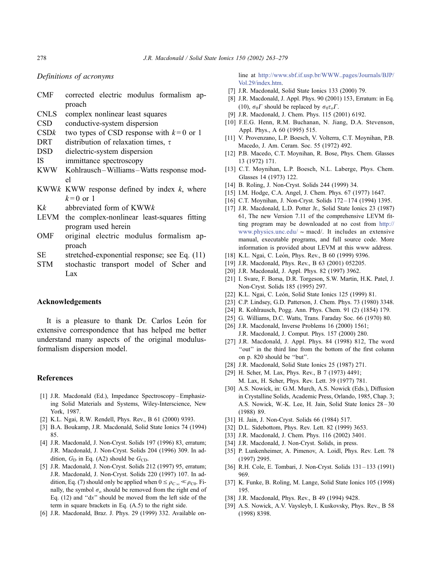Definitions of acronyms

|                                      |  |  | CMF corrected electric modulus formalism ap- |  |
|--------------------------------------|--|--|----------------------------------------------|--|
| proach                               |  |  |                                              |  |
| CNLS complex nonlinear least squares |  |  |                                              |  |

- CSD conductive-system dispersion
- CSDk two types of CSD response with  $k=0$  or 1
- DRT distribution of relaxation times,  $\tau$
- DSD dielectric-system dispersion
- IS immittance spectroscopy
- KWW Kohlrausch–Williams –Watts response model
- KWWk KWW response defined by index  $k$ , where  $k=0$  or 1
- Kk abbreviated form of KWWk
- LEVM the complex-nonlinear least-squares fitting program used herein
- OMF original electric modulus formalism approach
- SE stretched-exponential response; see Eq. (11)
- STM stochastic transport model of Scher and Lax

#### Acknowledgements

It is a pleasure to thank Dr. Carlos León for extensive correspondence that has helped me better understand many aspects of the original modulusformalism dispersion model.

#### References

- [1] J.R. Macdonald (Ed.), Impedance Spectroscopy Emphasizing Solid Materials and Systems, Wiley-Interscience, New York, 1987.
- [2] K.L. Ngai, R.W. Rendell, Phys. Rev., B 61 (2000) 9393.
- [3] B.A. Boukamp, J.R. Macdonald, Solid State Ionics 74 (1994) 85.
- [4] J.R. Macdonald, J. Non-Cryst. Solids 197 (1996) 83, erratum; J.R. Macdonald, J. Non-Cryst. Solids 204 (1996) 309. In addition,  $G_D$  in Eq. (A2) should be  $G_{CD}$ .
- [5] J.R. Macdonald, J. Non-Cryst. Solids 212 (1997) 95, erratum; J.R. Macdonald, J. Non-Cryst. Solids 220 (1997) 107. In addition, Eq. (7) should only be applied when  $0 \le \rho_{C_\infty} \ll \rho_{C0}$ . Finally, the symbol  $\sigma_o$  should be removed from the right end of Eq.  $(12)$  and " $dx$ " should be moved from the left side of the term in square brackets in Eq. (A.5) to the right side.
- [6] J.R. Macdonald, Braz. J. Phys. 29 (1999) 332. Available on-

line at [http://www.sbf.if.usp.br/WWW\\_pages/Journals/BJP/]( http:\\www.sbf.if.usp.br\WWW_pages\Journals\BJP\Vol.29\index.htm. ) Vol.29/index.htm.

- [7] J.R. Macdonald, Solid State Ionics 133 (2000) 79.
- [8] J.R. Macdonald, J. Appl. Phys. 90 (2001) 153, Erratum: in Eq. (10),  $\sigma_0 \Gamma$  should be replaced by  $\sigma_0 \tau_o \Gamma$ .
- [9] J.R. Macdonald, J. Chem. Phys. 115 (2001) 6192.
- [10] F.E.G. Henn, R.M. Buchanan, N. Jiang, D.A. Stevenson, Appl. Phys., A 60 (1995) 515.
- [11] V. Provenzano, L.P. Boesch, V. Volterra, C.T. Moynihan, P.B. Macedo, J. Am. Ceram. Soc. 55 (1972) 492.
- [12] P.B. Macedo, C.T. Moynihan, R. Bose, Phys. Chem. Glasses 13 (1972) 171.
- [13] C.T. Moynihan, L.P. Boesch, N.L. Laberge, Phys. Chem. Glasses 14 (1973) 122.
- [14] B. Roling, J. Non-Cryst. Solids 244 (1999) 34.
- [15] I.M. Hodge, C.A. Angel, J. Chem. Phys. 67 (1977) 1647.
- [16] C.T. Moynihan, J. Non-Cryst. Solids 172-174 (1994) 1395.
- [17] J.R. Macdonald, L.D. Potter Jr., Solid State Ionics 23 (1987) 61, The new Version 7.11 of the comprehensive LEVM fitting program may be downloaded at no cost from [http://]( http:\\www.physics.unc.edu\macd\ ) www.physics.unc.edu/  $\sim$  macd/. It includes an extensive manual, executable programs, and full source code. More information is provided about LEVM at this www address.
- [18] K.L. Ngai, C. León, Phys. Rev., B 60 (1999) 9396.
- [19] J.R. Macdonald, Phys. Rev., B 63 (2001) 052205.
- [20] J.R. Macdonald, J. Appl. Phys. 82 (1997) 3962.
- [21] I. Svare, F. Borsa, D.R. Torgeson, S.W. Martin, H.K. Patel, J. Non-Cryst. Solids 185 (1995) 297.
- [22] K.L. Ngai, C. León, Solid State Ionics 125 (1999) 81.
- [23] C.P. Lindsey, G.D. Patterson, J. Chem. Phys. 73 (1980) 3348.
- [24] R. Kohlrausch, Pogg. Ann. Phys. Chem. 91 (2) (1854) 179.
- [25] G. Williams, D.C. Watts, Trans. Faraday Soc. 66 (1970) 80.
- [26] J.R. Macdonald, Inverse Problems 16 (2000) 1561; J.R. Macdonald, J. Comput. Phys. 157 (2000) 280.
- [27] J.R. Macdonald, J. Appl. Phys. 84 (1998) 812, The word ''out'' in the third line from the bottom of the first column on p. 820 should be ''but''.
- [28] J.R. Macdonald, Solid State Ionics 25 (1987) 271.
- [29] H. Scher, M. Lax, Phys. Rev., B 7 (1973) 4491; M. Lax, H. Scher, Phys. Rev. Lett. 39 (1977) 781.
- [30] A.S. Nowick, in: G.M. Murch, A.S. Nowick (Eds.), Diffusion in Crystalline Solids, Academic Press, Orlando, 1985, Chap. 3; A.S. Nowick, W.-K. Lee, H. Jain, Solid State Ionics 28 – 30 (1988) 89.
- [31] H. Jain, J. Non-Cryst. Solids 66 (1984) 517.
- [32] D.L. Sidebottom, Phys. Rev. Lett. 82 (1999) 3653.
- [33] J.R. Macdonald, J. Chem. Phys. 116 (2002) 3401.
- [34] J.R. Macdonald, J. Non-Cryst. Solids, in press.
- [35] P. Lunkenheimer, A. Pimenov, A. Loidl, Phys. Rev. Lett. 78 (1997) 2995.
- [36] R.H. Cole, E. Tombari, J. Non-Cryst. Solids 131-133 (1991) 969.
- [37] K. Funke, B. Roling, M. Lange, Solid State Ionics 105 (1998) 195.
- [38] J.R. Macdonald, Phys. Rev., B 49 (1994) 9428.
- [39] A.S. Nowick, A.V. Vaysleyb, I. Kuskovsky, Phys. Rev., B 58 (1998) 8398.

<span id="page-15-0"></span>